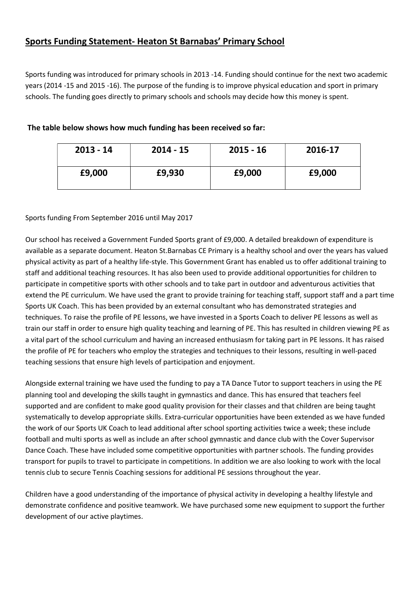# Sports Funding Statement- Heaton St Barnabas' Primary School

Sports funding was introduced for primary schools in 2013 -14. Funding should continue for the next two academic years (2014 -15 and 2015 -16). The purpose of the funding is to improve physical education and sport in primary schools. The funding goes directly to primary schools and schools may decide how this money is spent.

| $2013 - 14$ | $2014 - 15$ | $2015 - 16$ | 2016-17 |
|-------------|-------------|-------------|---------|
| £9,000      | £9,930      | £9,000      | £9,000  |

### The table below shows how much funding has been received so far:

#### Sports funding From September 2016 until May 2017

Our school has received a Government Funded Sports grant of £9,000. A detailed breakdown of expenditure is available as a separate document. Heaton St.Barnabas CE Primary is a healthy school and over the years has valued physical activity as part of a healthy life-style. This Government Grant has enabled us to offer additional training to staff and additional teaching resources. It has also been used to provide additional opportunities for children to participate in competitive sports with other schools and to take part in outdoor and adventurous activities that extend the PE curriculum. We have used the grant to provide training for teaching staff, support staff and a part time Sports UK Coach. This has been provided by an external consultant who has demonstrated strategies and techniques. To raise the profile of PE lessons, we have invested in a Sports Coach to deliver PE lessons as well as train our staff in order to ensure high quality teaching and learning of PE. This has resulted in children viewing PE as a vital part of the school curriculum and having an increased enthusiasm for taking part in PE lessons. It has raised the profile of PE for teachers who employ the strategies and techniques to their lessons, resulting in well-paced teaching sessions that ensure high levels of participation and enjoyment.

Alongside external training we have used the funding to pay a TA Dance Tutor to support teachers in using the PE planning tool and developing the skills taught in gymnastics and dance. This has ensured that teachers feel supported and are confident to make good quality provision for their classes and that children are being taught systematically to develop appropriate skills. Extra-curricular opportunities have been extended as we have funded the work of our Sports UK Coach to lead additional after school sporting activities twice a week; these include football and multi sports as well as include an after school gymnastic and dance club with the Cover Supervisor Dance Coach. These have included some competitive opportunities with partner schools. The funding provides transport for pupils to travel to participate in competitions. In addition we are also looking to work with the local tennis club to secure Tennis Coaching sessions for additional PE sessions throughout the year.

Children have a good understanding of the importance of physical activity in developing a healthy lifestyle and demonstrate confidence and positive teamwork. We have purchased some new equipment to support the further development of our active playtimes.